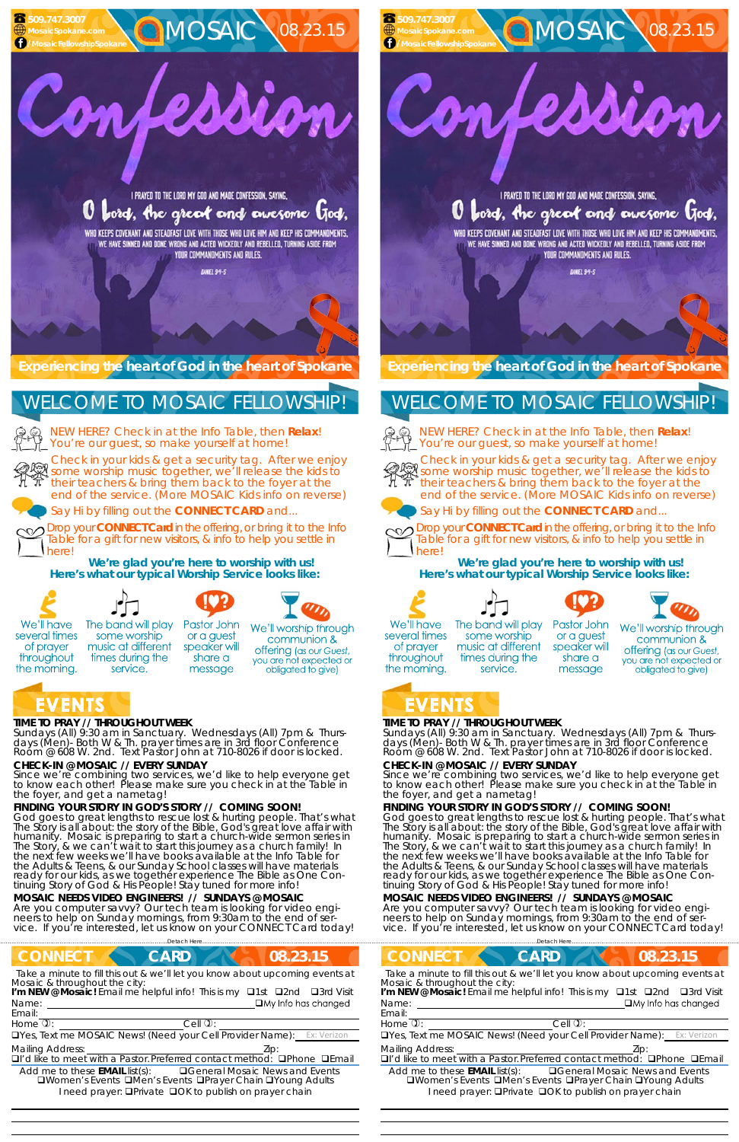#### **TIME TO PRAY // THROUGHOUT WEEK**

*Sundays* (All) 9:30 am in Sanctuary. *Wednesdays* (All) 7pm & *Thurs*days (Men)- Both W & Th. prayer times are in 3rd floor Conference<br>Room @ 608 W. 2nd. Text Pastor John at 710-8026 if door is locked.

service.

#### **CHECK-IN @ MOSAIC // EVERY SUNDAY**

Since we're combining two services, we'd like to help everyone get to know each other! Please make sure you check in at the Table in the foyer, and get a nametag!

## **FINDING YOUR STORY IN GOD'S STORY // COMING SOON!**

NEW HERE? Check in at the Info Table, then **Relax**! You're our guest, so make yourself at home!

God goes to great lengths to rescue lost & hurting people. That's what The Story is all about: the story of the Bible, God's great love affair with humanity. Mosaic is preparing to start a church-wide sermon series in The Story, & we can't wait to start this journey as a church family! In the next few weeks we'll have books available at the Info Table for the Adults & Teens, & our Sunday School classes will have materials ready for our kids, as we together experience The Bible as One Continuing Story of God & His People! Stay tuned for more info!



**P** 

WHO KEEPS COVENANT AND STEADFAST LOVE WITH THOSE WHO LOVE HIM AND KEEP HIS COMMANDMENTS, WE HAVE SINNED AND DONE WRONG AND ACTED WICKEDLY AND REBELLED, TURNING ASIDE FROM YOUR COMMANOMENTS AND RULES.

**MOSAIC \08.23.15** 

**DANEL 94-5** 

#### **MOSAIC NEEDS VIDEO ENGINEERS! // SUNDAYS @ MOSAIC**

Are you computer savvy? Our tech team is looking for video engineers to help on Sunday mornings, from 9:30am to the end of service. If you're interested, let us know on your CONNECT Card today! **TIME TO PRAY // THROUGHOUT WEEK**  *Sundays* (All) 9:30 am in Sanctuary. *Wednesdays* (All) 7pm & *Thurs*days (Men)- Both W & Th. prayer times are in 3rd floor Conference<br>Room @ 608 W. 2nd. Text Pastor John at 710-8026 if door is locked.

**Experiencing the heart of God in the heart of Spokane** 

God goes to great lengths to rescue lost & hurting people. That's what The Story is all about: the story of the Bible, God's great love affair with humanity. Mosaic is preparing to start a church-wide sermon series in The Story, & we can't wait to start this journey as a church family! In the next few weeks we'll have books available at the Info Table for the Adults & Teens, & our Sunday School classes will have materials ready for our kids, as we together experience The Bible as One Continuing Story of God & His People! Stay tuned for more info!

Check in your kids & get a security tag. After we enjoy Streek in your kids & get a security tag. After we enjoy<br>We some worship music together, we'll release the kids to their teachers & bring them back to the foyer at the end of the service. (More MOSAIC Kids info on reverse)

Say Hi by filling out the **CONNECT CARD** and...

Drop your **CONNECT Card** in the offering, or bring it to the Info Table for a gift for new visitors, & info to help you settle in here!

**We're glad you're here to worship with us! Here's what our typical Worship Service looks like:** 



of prayer

throughout

the morning.



WHO KEEPS COVENANT AND STEADFAST LOVE WITH THOSE WHO LOVE HIM AND KEEP HIS COMMANDMENTS, WE HAVE SINNED AND DONE WRONG AND ACTED WICKEDLY AND REBELLED, TURNING ASIDE FROM YOUR COMMANOMENTS AND RULES.

**BANEL 94-5** 

NEW HERE? Check in at the Info Table, then **Relax**! You're our guest, so make yourself at home!



## WELCOME TO MOSAIC FELLOWSHIP!

 

several times





some worship music at different times during the share a message

We'll worship through communion & **offering** (as our Guest, you are not expected or obligated to give)

# EVENTS

### **CHECK-IN @ MOSAIC // EVERY SUNDAY**

Since we're combining two services, we'd like to help everyone get to know each other! Please make sure you check in at the Table in the foyer, and get a nametag!

### **FINDING YOUR STORY IN GOD'S STORY // COMING SOON!**

| <b>CONNECT</b>                                                                | <b>CONNECT</b>                                                                |
|-------------------------------------------------------------------------------|-------------------------------------------------------------------------------|
| <b>CARD</b>                                                                   | 08.23.15                                                                      |
| 08.23.15                                                                      | <b>CARD</b>                                                                   |
| Take a minute to fill this out & we'll let you know about upcoming events at  | Take a minute to fill this out & we'll let you know about upcoming events at  |
| Mosaic & throughout the city:                                                 | Mosaic & throughout the city:                                                 |
| I'm NEW @ Mosaic! Email me helpful info! This is my $\Box$ 1st $\Box$ 2nd     | I'm NEW @ Mosaic! Email me helpful info! This is my <b>Q1st Q2nd</b>          |
| □3rd Visit                                                                    | □3rd Visit                                                                    |
| $\Box$ My Info has changed                                                    | $\Box$ My Info has changed                                                    |
| Name:                                                                         | Name:                                                                         |
| Email:                                                                        | Email:                                                                        |
| Home $\overline{v}$ :                                                         | Home $\overline{v}$ :                                                         |
| Cell $\mathbb{Q}$ :                                                           | Cell $\mathbb{O}$ :                                                           |
| <b>OYes, Text me MOSAIC News! (Need your Cell Provider Name):</b> Ex: Verizon | <b>OYes, Text me MOSAIC News! (Need your Cell Provider Name):</b> Ex: Verizon |
| <b>Mailing Address:</b>                                                       | <b>Mailing Address:</b>                                                       |
| Zip:                                                                          | ZID:                                                                          |
| □I'd like to meet with a Pastor. Preferred contact method: □Phone □Email      | □I'd like to meet with a Pastor. Preferred contact method: □Phone □Email      |
| Add me to these <b>EMAIL</b> list(s):                                         | <b>QGeneral Mosaic News and Events</b>                                        |
| <b>Q</b> General Mosaic News and Events                                       | Add me to these <b>EMAIL</b> list(s):                                         |
| <b>QWomen's Events QMen's Events QPrayer Chain QYoung Adults</b>              | <b>QWomen's Events QMen's Events QPrayer Chain QYoung Adults</b>              |
| I need prayer: <b>QPrivate QOK to publish on prayer chain</b>                 | I need prayer: <b>QPrivate QOK to publish on prayer chain</b>                 |

#### **MOSAIC NEEDS VIDEO ENGINEERS! // SUNDAYS @ MOSAIC**

Are you computer savvy? Our tech team is looking for video engineers to help on Sunday mornings, from 9:30am to the end of service. If you're interested, let us know on your CONNECT Card today!



Check in your kids & get a security tag. After we enjoy some worship music together, we'll release the kids to their teachers & bring them back to the foyer at the end of the service. (More MOSAIC Kids info on reverse)



Say Hi by filling out the **CONNECT CARD** and...



Drop your **CONNECT Card** in the offering, or bring it to the Info Table for a gift for new visitors, & info to help you settle in here!

**We're glad you're here to worship with us! Here's what our typical Worship Service looks like:** 



several times

of prayer

throughout



some worship

music at different

times during the

service.



or a guest

speaker will

share a

message



obligated to give)

We'll worship through communion & **offering** (as our Guest, you are not expected or

the morning. EVENTS

 **509.747.3007 MosaicSpokane.com /MosaicFellowshipSpokane**

## WELCOME TO MOSAIC FELLOWSHIP!